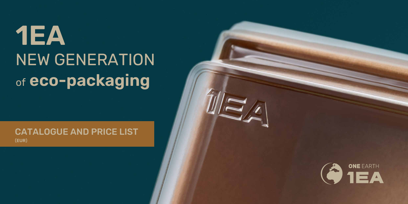# **1EA** NEW GENERATION of **eco-packaging**

### CATALOGUE AND PRICE LIST (**EUR**)

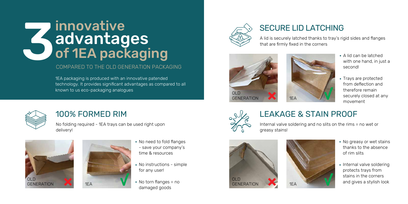







## innovative advantages of 1EA packaging SECURE LID LATCHING<br> **COMPARED TO THE OLD GENERATION PACKAGING**<br>
COMPARED TO THE OLD GENERATION PACKAGING









- A lid can be latched with one hand, in just a second!
- Trays are protected from deflection and therefore remain securely closed at any movement

- No greasy or wet stains thanks to the absence of rim slits
- Internal valve soldering protects trays from stains in the corners and gives a stylish look
- No need to fold flanges - save your company's time & resources
- No instructions simple for any user!
- No torn flanges = no damaged goods



## LEAKAGE & STAIN PROOF

Internal valve soldering and no slits on the rims = no wet or

greasy stains!

No folding required - 1EA trays can be used right upon delivery!

### 100% FORMED RIM

A lid is securely latched thanks to tray's rigid sides and flanges that are firmly fixed in the corners

1EA packaging is produced with an innovative patended technology. It provides significant advantages as compared to all known to us eco-packaging analogues

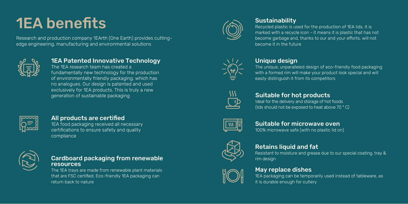Suitable for hot products Ideal for the delivery and storage of hot foods (lids should not be exposed to heat above 70 ° С)



#### All products are certified

1EA food packaging received all necessary certifications to ensure safety and quality compliance



## Unique design

The unique, unparalleled design of eco-friendly food packaging with a formed rim will make your product look special and will easily distinguish it from its competitors



Recycled plastic is used for the production of 1EA lids. It is marked with a recycle icon - it means it is plastic that has not become garbage and, thanks to our and your efforts, will not become it in the future



#### Suitable for microwave oven 100% microwave safe (with no plastic lid on)



### May replace dishes

1EA packaging can be temporarily used instead of tableware, as it is durable enough for cutlery

### Retains liquid and fat

Resistant to moisture and grease due to our special coating, tray &

rim design

#### 1EA Patented Innovative Technology The 1EA research team has created a fundamentally new technology for the production of environmentally friendly packaging, which has no analogues. Our design is patented and used exclusively for 1EA products. This is truly a new



generation of sustainable packaging

#### Cardboard packaging from renewable resources

The 1EA trays are made from renewable plant materials that are FSC certified. Eco-friendly 1EA packaging can return back to nature



#### **Sustainability**

Research and production company 1EArth (One Earth) provides cuttingedge engineering, manufacturing and environmental solutions



# 1ЕА benefits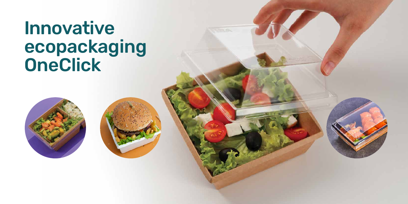# Innovative ecopackaging **OneClick**

 $-5.12<$ 



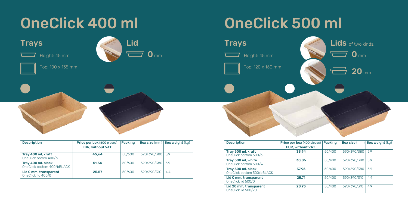# OneClick 400 ml

| <b>Description</b>                               | <b>Price per box</b> (600 pieces)<br><b>EUR, without VAT</b> | <b>Packing</b> |                 | <b>Box size</b> $(mm)$ <b>Box weight</b> $(kq)$ |
|--------------------------------------------------|--------------------------------------------------------------|----------------|-----------------|-------------------------------------------------|
| Tray 400 ml, kraft<br>OneClick botom 400/b       | 45,64                                                        | 50/600         | 590/390/380 5,9 |                                                 |
| Tray 400 ml, black<br>OneClick bottom 400/bBLACK | 51.36                                                        | 50/600         | 590/390/380     | 5.9                                             |
| Lid 0 mm, transparent<br>OneClick lid 400/0      | 25,57                                                        | 50/600         | 590/390/310     | 4.4                                             |



| <b>Description</b>                               | Price per box (400 pieces)<br><b>EUR, without VAT</b> | <b>Packing</b> |             | Box size $(mm)$ Box weight $(kg)$ |
|--------------------------------------------------|-------------------------------------------------------|----------------|-------------|-----------------------------------|
| Tray 500 ml, kraft<br>OneClick bottom 500/b      | 33,94                                                 | 50/400         | 590/390/380 | 5,9                               |
| Tray 500 ml, white<br>OneClick bottom 500/w      | 30.86                                                 | 50/400         | 590/390/380 | 5,9                               |
| Tray 500 ml, black<br>OneClick bottom 500/bBLACK | 37,95                                                 | 50/400         | 590/390/380 | 5,9                               |
| Lid 0 mm, transparent<br>OneClick lid 500/0      | 25.71                                                 | 50/400         | 590/390/310 | 4.4                               |
| Lid 20 mm, transparent<br>OneClick lid 500/20    | 28,93                                                 | 50/400         | 590/390/310 | 4,9                               |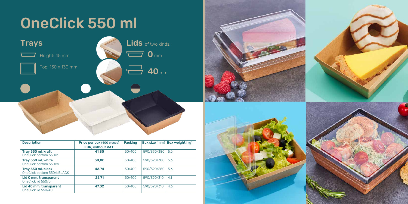## OneClick 550 ml

| <b>Description</b>                               | Price per box (400 pieces)<br><b>EUR, without VAT</b> | <b>Packing</b> |             | <b>Box size (mm) Box weight (kg)</b> |
|--------------------------------------------------|-------------------------------------------------------|----------------|-------------|--------------------------------------|
| Tray 550 ml, kraft<br>OneClick bottom 550/b      | 41,80                                                 | 50/400         | 590/390/380 | 5,6                                  |
| Tray 550 ml, white<br>OneClick bottom 550/w      | 38,00                                                 | 50/400         | 590/390/380 | 5.6                                  |
| Tray 550 ml, black<br>OneClick bottom 550/bBLACK | 46,74                                                 | 50/400         | 590/390/380 | 5,6                                  |
| Lid 0 mm, transparent<br>OneClick lid 550/0      | 25,71                                                 | 50/400         | 590/390/310 | 4,1                                  |
| Lid 40 mm, transparent<br>OneClick lid 550/40    | 47,02                                                 | 50/400         | 590/390/310 | 4,6                                  |





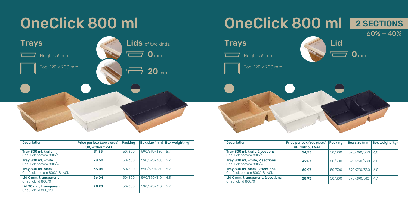Height: 55 mm

**Trays** 

Top: 120 х 200 mm

| <b>Service</b><br><b>Andrews</b> |  |
|----------------------------------|--|

# OneClick 800 ml

| <b>Description</b>                                           | Price per box (300 pieces) | <b>Packing</b> |             | <b>Box size</b> $(mm)$ <b>Box weight</b> $(kg)$ |
|--------------------------------------------------------------|----------------------------|----------------|-------------|-------------------------------------------------|
|                                                              | <b>EUR, without VAT</b>    |                |             |                                                 |
| Tray 800 ml, kraft, 2 sections<br>OneClick bottom 800/b      | 54,53                      | 50/300         | 590/390/380 | 6.0                                             |
| Tray 800 ml, white, 2 sections<br>OneClick bottom 800/w      | 49.57                      | 50/300         | 590/390/380 | 6.0                                             |
| Tray 800 ml, black, 2 sections<br>OneClick bottom 800/bBLACK | 60.97                      | 50/300         | 590/390/380 | 6.0                                             |
| Lid 0 mm, transparent, 2 sections<br>OneClick lid 800/0      | 28,93                      | 50/300         | 590/390/310 | 4.7                                             |

| <b>Description</b>                               | Price per box (300 pieces)<br><b>EUR, without VAT</b> | <b>Packing</b> |             | <b>Box size</b> $(mm)$ <b>Box weight</b> $(kg)$ |
|--------------------------------------------------|-------------------------------------------------------|----------------|-------------|-------------------------------------------------|
| Tray 800 ml, kraft<br>OneClick bottom 800/b      | 31.35                                                 | 50/300         | 590/390/380 | 5,9                                             |
| Tray 800 ml, white<br>OneClick bottom 800/w      | 28,50                                                 | 50/300         | 590/390/380 | 5,9                                             |
| Tray 800 ml, black<br>OneClick bottom 800/bBLACK | 35,05                                                 | 50/300         | 590/390/380 | 5,9                                             |
| Lid 0 mm, transparent<br>OneClick lid 800/0      | 26,04                                                 | 50/300         | 590/390/310 | 4,3                                             |
| Lid 20 mm, transparent<br>OneClick lid 800/20    | 28,93                                                 | 50/300         | 590/390/310 | 5,2                                             |

## $\overline{\phantom{a}}$  0 mm Lid 60% + 40% Onl 2 SECTIONS





| <b>OneClick 80</b> |  |  |  |
|--------------------|--|--|--|
|                    |  |  |  |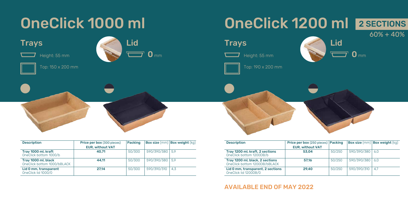### 60% + 40% OneClick 1000 ml 2 200 ml 2 SECTIONS Height: 55 mm **Trays**  $\overline{\phantom{a}}$  0 mm Lid

| <b>Description</b>                                 | <b>Price per box</b> (300 pieces)<br><b>EUR, without VAT</b> | <b>Packing</b> |             | <b>Box size</b> $(mm)$ <b>Box weight</b> $(kg)$ |
|----------------------------------------------------|--------------------------------------------------------------|----------------|-------------|-------------------------------------------------|
| Tray 1000 ml, kraft<br>OneClick bottom 1000/b      | 40.71                                                        | 50/300         | 590/390/380 | 5,9                                             |
| Tray 1000 ml, black<br>OneClick bottom 1000/bBLACK | 44.11                                                        | 50/300         | 590/390/380 | 5,9                                             |
| Lid 0 mm, transparent<br>OneClick lid 1000/0       | 27.14                                                        | 50/300         | 590/390/310 | 4.3                                             |



| <b>Description</b>                                               | <b>Price per box</b> (250 pieces) <b>Packing</b> |        |                 | <b>Box size</b> $(mm)$ <b>Box weight</b> $(kg)$ |
|------------------------------------------------------------------|--------------------------------------------------|--------|-----------------|-------------------------------------------------|
|                                                                  | <b>EUR, without VAT</b>                          |        |                 |                                                 |
| Tray 1200 ml, kraft, 2 sections<br>OneClick bottom 1200DB/b      | 53.04                                            | 50/250 | 590/390/380 6.0 |                                                 |
| Tray 1200 ml, black, 2 sections<br>OneClick bottom 1200DB/bBLACK | 57.16                                            | 50/250 | 590/390/380 6.0 |                                                 |
| Lid 0 mm, transparent, 2 sections<br>OneClick lid 1200DB/0       | 29.40                                            | 50/250 | 590/390/310     | -4.7                                            |

### AVAILABLE END OF MAY 2022

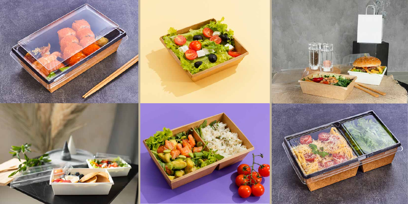